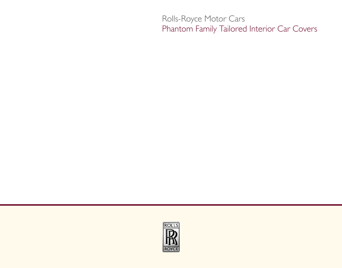Rolls-Royce Motor Cars Phantom Family Tailored Interior Car Covers

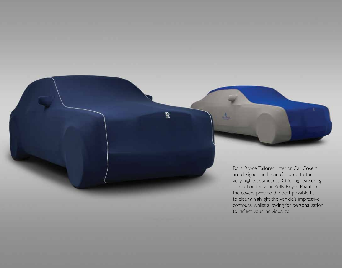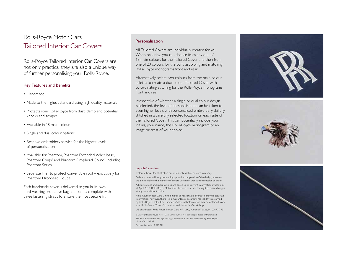# Rolls-Royce Motor Cars Tailored Interior Car Covers

Rolls-Royce Tailored Interior Car Covers are not only practical they are also a unique way of further personalising your Rolls-Royce.

### Key Features and Benefits

- • Handmade
- Made to the highest standard using high quality materials
- Protects your Rolls-Royce from dust, damp and potential knocks and scrapes
- Available in 18 main colours
- Single and dual colour options
- Bespoke embroidery service for the highest levels of personalisation
- Available for Phantom, Phantom Extended Wheelbase, Phantom Coupé and Phantom Drophead Coupé, including Phantom Series II
- Separate liner to protect convertible roof exclusively for Phantom Drophead Coupé

Each handmade cover is delivered to you in its own hard-wearing protective bag and comes complete with three fastening straps to ensure the most secure fit.

#### Personalisation

All Tailored Covers are individually created for you. When ordering, you can choose from any one of 18 main colours for the Tailored Cover and then from one of 20 colours for the contrast piping and matching Rolls-Royce monograms front and rear.

Alternatively, select two colours from the main colour palette to create a dual colour Tailored Cover with co-ordinating stitching for the Rolls-Royce monograms front and rear.

Irrespective of whether a single or dual colour design is selected, the level of personalisation can be taken to even higher levels with personalised embroidery skilfully stitched in a carefully selected location on each side of the Tailored Cover. This can potentially include your initials, your name, the Rolls-Royce monogram or an image or crest of your choice.

#### Legal Information

Colours shown for illustrative purposes only. Actual colours may vary. Delivery times will vary depending upon the complexity of the design; however, we aim to deliver the majority of covers within six weeks from receipt of order.

All illustrations and specifications are based upon current information available as at April 2012. Rolls-Royce Motor Cars Limited reserves the right to make changes at any time without notice.

Rolls-Royce Motor Cars Limited makes all reasonable efforts to provide accurate information, however, there is no guarantee of accuracy. No liability is assumed by Rolls-Royce Motor Cars Limited. Additional information may be obtained from your Rolls-Royce Motor Cars authorised dealership/workshop.

US distributor: Rolls-Royce Motor Cars NA, LLC, Woodcliff Lake, NJ 07677-7731.

© Copyright Rolls-Royce Motor Cars Limited 2012. Not to be reproduced or transmitted. The Rolls-Royce name and logo are registered trade marks and are owned by Rolls-Royce

Motor Cars Limited.

Part number: 01 41 2 320 771





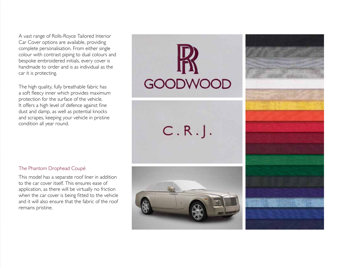A vast range of Rolls-Royce Tailored Interior Car Cover options are available, providing complete personalisation. From either single colour with contrast piping to dual colours and bespoke embroidered initials, every cover is handmade to order and is as individual as the car it is protecting.

The high quality, fully breathable fabric has a soft fleecy inner which provides maximum protection for the surface of the vehicle. It offers a high level of defence against fine dust and damp, as well as potential knocks and scrapes, keeping your vehicle in pristine condition all year round.

**GOODWOOD** 

 $C.R.$ .



## The Phantom Drophead Coupé

This model has a separate roof liner in addition to the car cover itself. This ensures ease of application, as there will be virtually no friction when the car cover is being fitted to the vehicle and it will also ensure that the fabric of the roof remains pristine.

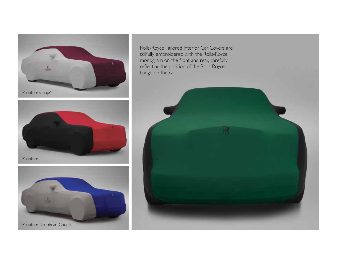

Rolls-Royce Tailored Interior Car Covers are skilfully embroidered with the Rolls-Royce monogram on the front and rear, carefully reflecting the position of the Rolls-Royce badge on the car.